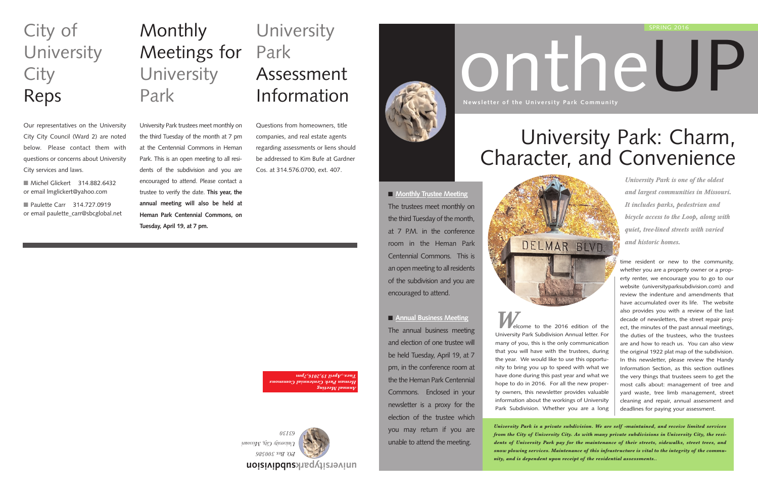# ontheUP

*W*elcome to the 2016 edition of the University Park Subdivision Annual letter. For many of you, this is the only communication that you will have with the trustees, during the year. We would like to use this opportunity to bring you up to speed with what we have done during this past year and what we hope to do in 2016. For all the new property owners, this newsletter provides valuable information about the workings of University Park Subdivision. Whether you are a long

*University Park is a private subdivision. We are self -maintained, and receive limited services from the City of University City. As with many private subdivisions in University City, the residents of University Park pay for the maintenance of their streets, sidewalks, street trees, and snow plowing services. Maintenance of this infrastructure is vital to the integrity of the community, and is dependent upon receipt of the residential assessments..*

# **Monthly** Meetings for University Park

■ Michel Glickert 314.882.6432 or email lmglickert@yahoo.com

■ Paulette Carr 314.727.0919 or email paulette\_carr@sbcglobal.net

## **University** Park Assessment Information

time resident or new to the community, whether you are a property owner or a property renter, we encourage you to go to our website (universityparksubdivision.com) and review the indenture and amendments that have accumulated over its life. The website also provides you with a review of the last decade of newsletters, the street repair project, the minutes of the past annual meetings, the duties of the trustees, who the trustees are and how to reach us. You can also view the original 1922 plat map of the subdivision. In this newsletter, please review the Handy Information Section, as this section outlines the very things that trustees seem to get the most calls about: management of tree and yard waste, tree limb management, street cleaning and repair, annual assessment and deadlines for paying your assessment.

■ **Monthly Trustee Meeting** The trustees meet monthly on the third Tuesday of the month, at 7 P.M. in the conference room in the Heman Park Centennial Commons. This is an open meeting to all residents of the subdivision and you are encouraged to attend.

■ **Annual Business Meeting** The annual business meeting and election of one trustee will be held Tuesday, April 19, at 7 pm, in the conference room at the the Heman Park Centennial Commons. Enclosed in your newsletter is a proxy for the election of the trustee which you may return if you are unable to attend the meeting.



**Newsletter of the University Park Community**

**subdivision universitypark**



University Park trustees meet monthly on the third Tuesday of the month at 7 pm at the Centennial Commons in Heman Park. This is an open meeting to all residents of the subdivision and you are encouraged to attend. Please contact a trustee to verify the date. **This year, the annual meeting will also be held at Heman Park Centennial Commons, on Tuesday, April 19, at 7 pm.**

# City of University **City** Reps

Our representatives on the University City City Council (Ward 2) are noted below. Please contact them with questions or concerns about University City services and laws.

Questions from homeowners, title companies, and real estate agents regarding assessments or liens should be addressed to Kim Bufe at Gardner Cos. at 314.576.0700, ext. 407.

> *Annual Meeting Heman Park Centennial Commons Tues.,April 19,2016,7pm*

# University Park: Charm, Character, and Convenience

DELMAR BLVD.

*University Park is one of the oldest and largest communities in Missouri. It includes parks, pedestrian and bicycle access to the Loop, along with quiet, tree-lined streets with varied and historic homes.*